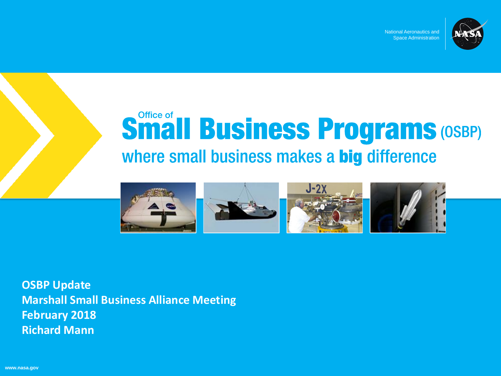

National Aeronautics and Space Administration

# **Small Business Programs (OSBP)** where small business makes a big difference



**OSBP Update Marshall Small Business Alliance Meeting February 2018 Richard Mann**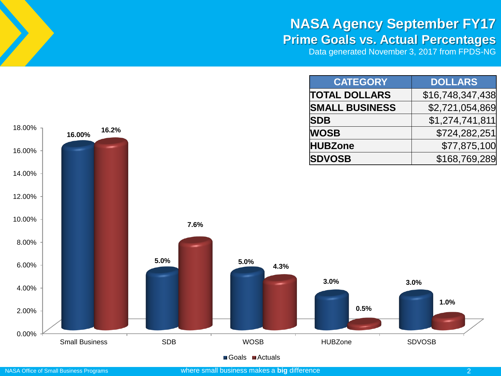#### **NASA Agency September FY17 Prime Goals vs. Actual Percentages**

Data generated November 3, 2017 from FPDS-NG

| <b>CATEGORY</b>       | <b>DOLLARS</b>   |
|-----------------------|------------------|
| <b>TOTAL DOLLARS</b>  | \$16,748,347,438 |
| <b>SMALL BUSINESS</b> | \$2,721,054,869  |
| <b>SDB</b>            | \$1,274,741,811  |
| <b>WOSB</b>           | \$724,282,251    |
| <b>HUBZone</b>        | \$77,875,100     |
| <b>SDVOSB</b>         | \$168,769,289    |



■Goals ■Actuals

18.00%

**16.00%**

**16.2%**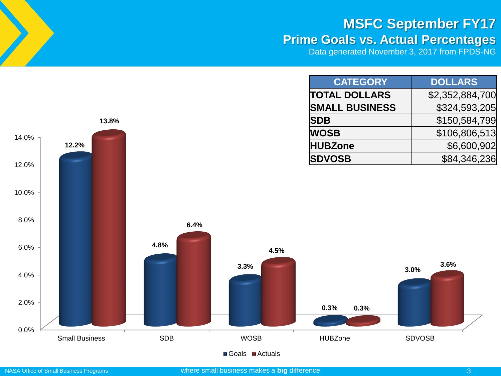#### **MSFC September FY17 Prime Goals vs. Actual Percentages**

Data generated November 3, 2017 from FPDS-NG

| <b>CATEGORY</b>       | <b>DOLLARS</b>  |
|-----------------------|-----------------|
| <b>TOTAL DOLLARS</b>  | \$2,352,884,700 |
| <b>SMALL BUSINESS</b> | \$324,593,205   |
| <b>SDB</b>            | \$150,584,799   |
| <b>WOSB</b>           | \$106,806,513   |
| <b>HUBZone</b>        | \$6,600,902     |
| <b>SDVOSB</b>         | \$84,346,236    |



14.0%

**12.2%**

**13.8%**

#### NASA Office of Small Business Programs where small business makes a **big** difference 3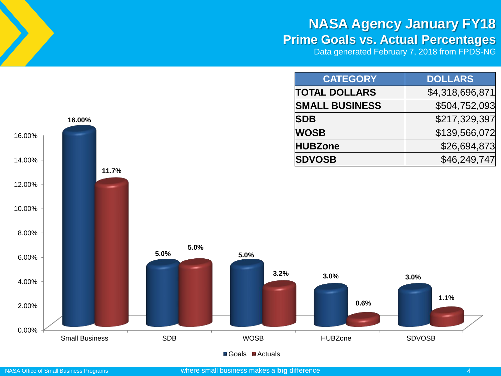### **NASA Agency January FY18 Prime Goals vs. Actual Percentages**

Data generated February 7, 2018 from FPDS-NG

| <b>CATEGORY</b>       | <b>DOLLARS</b>  |
|-----------------------|-----------------|
| <b>TOTAL DOLLARS</b>  | \$4,318,696,871 |
| <b>SMALL BUSINESS</b> | \$504,752,093   |
| <b>SDB</b>            | \$217,329,397   |
| <b>WOSB</b>           | \$139,566,072   |
| <b>HUBZone</b>        | \$26,694,873    |
| <b>SDVOSB</b>         | \$46,249,747    |

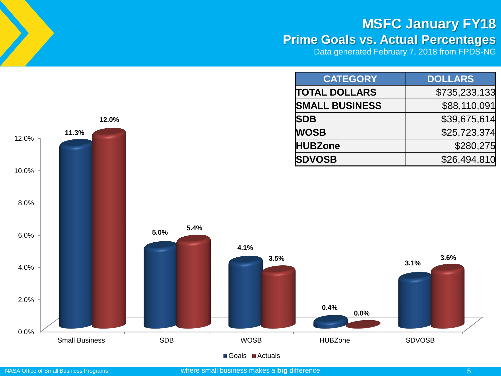### **MSFC January FY18**

### **Prime Goals vs. Actual Percentages**

Data generated February 7, 2018 from FPDS-NG

| <b>CATEGORY</b>       | <b>DOLLARS</b> |
|-----------------------|----------------|
| <b>TOTAL DOLLARS</b>  | \$735,233,133  |
| <b>SMALL BUSINESS</b> | \$88,110,091   |
| <b>SDB</b>            | \$39,675,614   |
| <b>WOSB</b>           | \$25,723,374   |
| <b>HUBZone</b>        | \$280,275      |
| <b>SDVOSB</b>         | \$26,494,810   |



■Goals ■Actuals

**12.0%**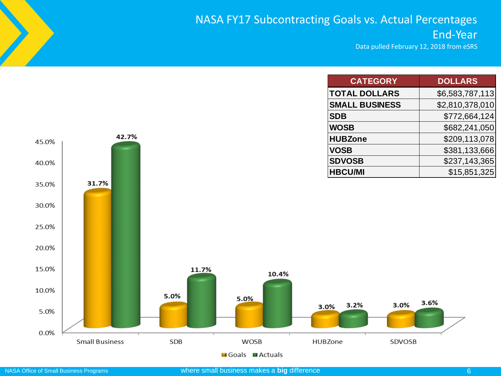#### NASA FY17 Subcontracting Goals vs. Actual Percentages End-Year

Data pulled February 12, 2018 from eSRS

|                |                       |            |             | <b>CATEGORY</b>       |        | <b>DOLLARS</b>  |
|----------------|-----------------------|------------|-------------|-----------------------|--------|-----------------|
|                |                       |            |             | <b>TOTAL DOLLARS</b>  |        | \$6,583,787,113 |
|                |                       |            |             | <b>SMALL BUSINESS</b> |        | \$2,810,378,010 |
|                |                       |            |             | <b>SDB</b>            |        | \$772,664,124   |
|                |                       |            |             | <b>WOSB</b>           |        | \$682,241,050   |
| 45.0%          | 42.7%                 |            |             | <b>HUBZone</b>        |        | \$209,113,078   |
|                |                       |            |             | <b>VOSB</b>           |        | \$381,133,666   |
| 40.0%          |                       |            |             | <b>SDVOSB</b>         |        | \$237,143,365   |
|                |                       |            |             | <b>HBCU/MI</b>        |        | \$15,851,325    |
| 35.0%          | 31.7%                 |            |             |                       |        |                 |
| 30.0%<br>25.0% |                       |            |             |                       |        |                 |
| 20.0%          |                       |            |             |                       |        |                 |
| 15.0%          |                       | 11.7%      | 10.4%       |                       |        |                 |
| 10.0%          |                       | 5.0%       | 5.0%        |                       | 3.0%   | 3.6%            |
| 5.0%           |                       |            |             | 3.2%<br>3.0%          |        |                 |
| 0.0%           | <b>Small Business</b> | <b>SDB</b> | <b>WOSB</b> | HUBZone               | SDVOSB |                 |

**M** Goals **MActuals**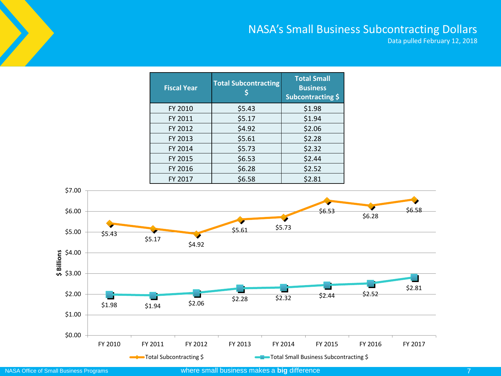#### NASA's Small Business Subcontracting Dollars

Data pulled February 12, 2018

| <b>Fiscal Year</b> | <b>Total Subcontracting</b> | <b>Total Small</b><br><b>Business</b><br>Subcontracting \$ |  |
|--------------------|-----------------------------|------------------------------------------------------------|--|
| FY 2010            | \$5.43                      | \$1.98                                                     |  |
| FY 2011            | \$5.17                      | \$1.94                                                     |  |
| FY 2012            | \$4.92                      | \$2.06                                                     |  |
| FY 2013            | \$5.61                      | \$2.28                                                     |  |
| FY 2014            | \$5.73                      | \$2.32                                                     |  |
| FY 2015            | \$6.53                      | \$2.44                                                     |  |
| FY 2016            | \$6.28                      | \$2.52                                                     |  |
| FY 2017            | \$6.58                      | \$2.81                                                     |  |

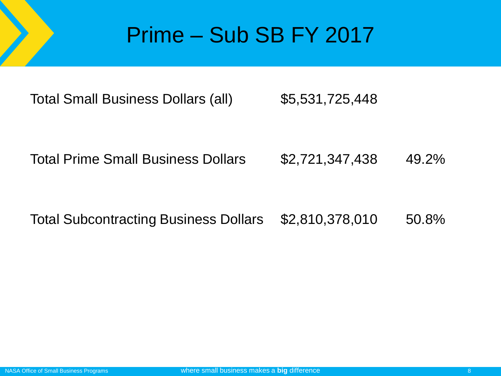## Prime – Sub SB FY 2017

Total Small Business Dollars (all) \$5,531,725,448

Total Prime Small Business Dollars \$2,721,347,438 49.2%

Total Subcontracting Business Dollars \$2,810,378,010 50.8%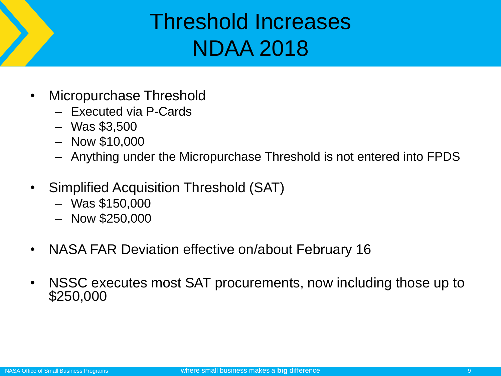## Threshold Increases NDAA 2018

- Micropurchase Threshold
	- Executed via P-Cards
	- Was \$3,500
	- Now \$10,000
	- Anything under the Micropurchase Threshold is not entered into FPDS
- Simplified Acquisition Threshold (SAT)
	- Was \$150,000
	- Now \$250,000
- NASA FAR Deviation effective on/about February 16
- NSSC executes most SAT procurements, now including those up to \$250,000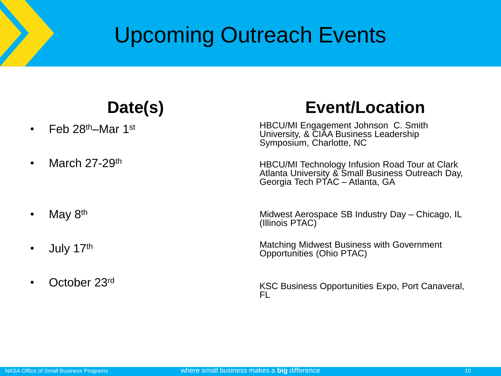## Upcoming Outreach Events

### **Date(s)**

- Feb  $28<sup>th</sup>$ –Mar 1st
- March  $27-29$ <sup>th</sup>

#### • May  $8<sup>th</sup>$

- July  $17<sup>th</sup>$
- October 23rd

### **Event/Location**

HBCU/MI Engagement Johnson C. Smith University, & CIAA Business Leadership Symposium, Charlotte, NC

HBCU/MI Technology Infusion Road Tour at Clark Atlanta University & Small Business Outreach Day, Georgia Tech PTAC – Atlanta, GA

Midwest Aerospace SB Industry Day – Chicago, IL (Illinois PTAC)

Matching Midwest Business with Government Opportunities (Ohio PTAC)

KSC Business Opportunities Expo, Port Canaveral, FL